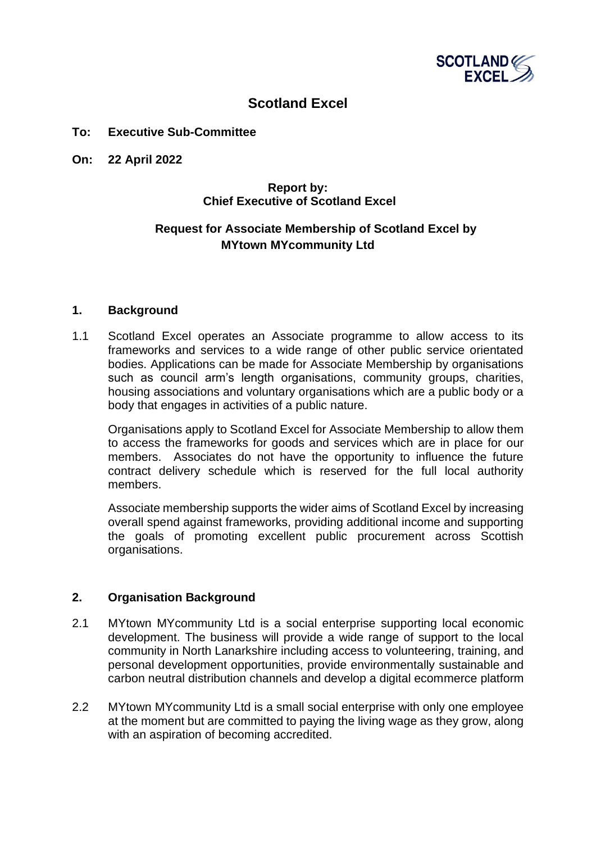

# **Scotland Excel**

#### **To: Executive Sub-Committee**

**On: 22 April 2022**

## **Report by: Chief Executive of Scotland Excel**

# **Request for Associate Membership of Scotland Excel by MYtown MYcommunity Ltd**

#### **1. Background**

1.1 Scotland Excel operates an Associate programme to allow access to its frameworks and services to a wide range of other public service orientated bodies. Applications can be made for Associate Membership by organisations such as council arm's length organisations, community groups, charities, housing associations and voluntary organisations which are a public body or a body that engages in activities of a public nature.

Organisations apply to Scotland Excel for Associate Membership to allow them to access the frameworks for goods and services which are in place for our members. Associates do not have the opportunity to influence the future contract delivery schedule which is reserved for the full local authority members.

Associate membership supports the wider aims of Scotland Excel by increasing overall spend against frameworks, providing additional income and supporting the goals of promoting excellent public procurement across Scottish organisations.

## **2. Organisation Background**

- 2.1 MYtown MYcommunity Ltd is a social enterprise supporting local economic development. The business will provide a wide range of support to the local community in North Lanarkshire including access to volunteering, training, and personal development opportunities, provide environmentally sustainable and carbon neutral distribution channels and develop a digital ecommerce platform
- 2.2 MYtown MYcommunity Ltd is a small social enterprise with only one employee at the moment but are committed to paying the living wage as they grow, along with an aspiration of becoming accredited.